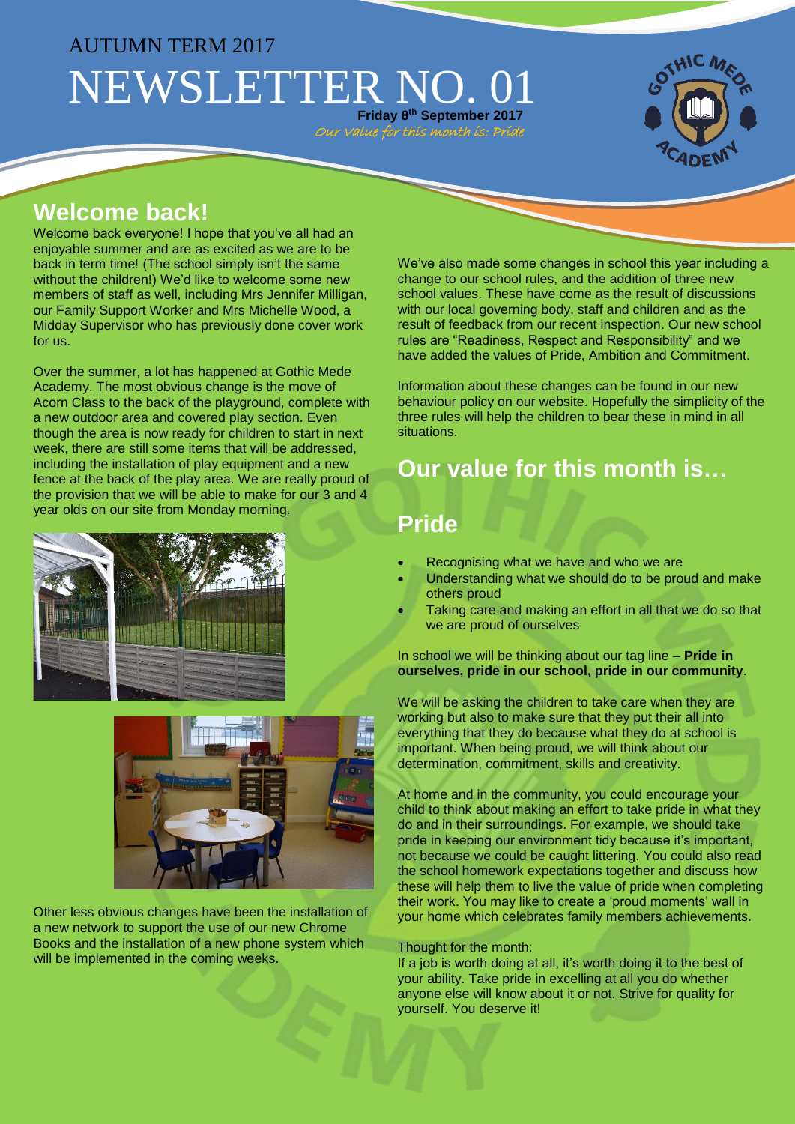## AUTUMN TERM 2017 NEWSLETTER NO. 0 **Friday 8 th September 2017**

#### **Welcome back!**

Welcome back everyone! I hope that you've all had an enjoyable summer and are as excited as we are to be back in term time! (The school simply isn't the same without the children!) We'd like to welcome some new members of staff as well, including Mrs Jennifer Milligan, our Family Support Worker and Mrs Michelle Wood, a Midday Supervisor who has previously done cover work for us.

Over the summer, a lot has happened at Gothic Mede Academy. The most obvious change is the move of Acorn Class to the back of the playground, complete with a new outdoor area and covered play section. Even though the area is now ready for children to start in next week, there are still some items that will be addressed, including the installation of play equipment and a new fence at the back of the play area. We are really proud of the provision that we will be able to make for our 3 and 4 year olds on our site from Monday morning.





Other less obvious changes have been the installation of a new network to support the use of our new Chrome Books and the installation of a new phone system which will be implemented in the coming weeks.

We've also made some changes in school this year including a change to our school rules, and the addition of three new school values. These have come as the result of discussions with our local governing body, staff and children and as the result of feedback from our recent inspection. Our new school rules are "Readiness, Respect and Responsibility" and we have added the values of Pride, Ambition and Commitment.

Information about these changes can be found in our new behaviour policy on our website. Hopefully the simplicity of the three rules will help the children to bear these in mind in all situations.

# **Our value for this month is…**

#### **Pride**

Our Value for this month is: Prid

- Recognising what we have and who we are
- Understanding what we should do to be proud and make others proud
- Taking care and making an effort in all that we do so that we are proud of ourselves

In school we will be thinking about our tag line – **Pride in ourselves, pride in our school, pride in our community**.

We will be asking the children to take care when they are working but also to make sure that they put their all into everything that they do because what they do at school is important. When being proud, we will think about our determination, commitment, skills and creativity.

At home and in the community, you could encourage your child to think about making an effort to take pride in what they do and in their surroundings. For example, we should take pride in keeping our environment tidy because it's important, not because we could be caught littering. You could also read the school homework expectations together and discuss how these will help them to live the value of pride when completing their work. You may like to create a 'proud moments' wall in your home which celebrates family members achievements.

#### Thought for the month:

If a job is worth doing at all, it's worth doing it to the best of your ability. Take pride in excelling at all you do whether anyone else will know about it or not. Strive for quality for yourself. You deserve it!